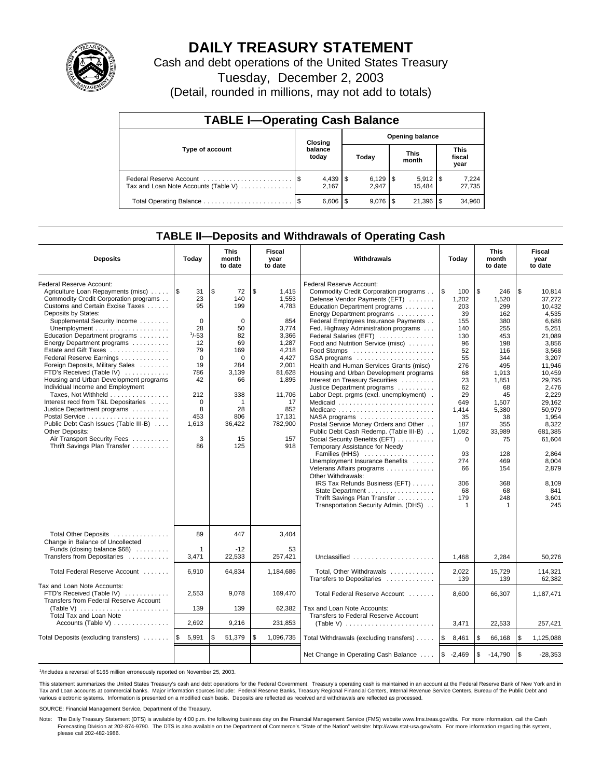

# **DAILY TREASURY STATEMENT**

Cash and debt operations of the United States Treasury

Tuesday, December 2, 2003

(Detail, rounded in millions, may not add to totals)

| <b>TABLE I-Operating Cash Balance</b>                           |                                   |                  |      |           |  |                       |                               |                 |  |
|-----------------------------------------------------------------|-----------------------------------|------------------|------|-----------|--|-----------------------|-------------------------------|-----------------|--|
|                                                                 | <b>Opening balance</b><br>Closing |                  |      |           |  |                       |                               |                 |  |
| Type of account                                                 |                                   | balance<br>today |      | Today     |  | <b>This</b><br>month  | <b>This</b><br>fiscal<br>year |                 |  |
| Federal Reserve Account<br>Tax and Loan Note Accounts (Table V) |                                   | 2.167            |      | 2.947     |  | $5,912$ \\$<br>15.484 |                               | 7,224<br>27,735 |  |
| Total Operating Balance                                         |                                   | 6,606            | - \$ | $9.076$ S |  | 21.396                |                               | 34,960          |  |

## **TABLE II—Deposits and Withdrawals of Operating Cash**

| <b>Deposits</b>                                              | Today        | <b>This</b><br>month<br>to date | <b>Fiscal</b><br>year<br>to date | Withdrawals                                           | Today         | <b>This</b><br>month<br>to date | Fiscal<br>year<br>to date |
|--------------------------------------------------------------|--------------|---------------------------------|----------------------------------|-------------------------------------------------------|---------------|---------------------------------|---------------------------|
| Federal Reserve Account:                                     |              |                                 |                                  | Federal Reserve Account:                              |               |                                 |                           |
| Agriculture Loan Repayments (misc)  S                        | 31           | \$<br>72                        | \$<br>1,415                      | Commodity Credit Corporation programs                 | l\$<br>100    | \$<br>246                       | \$<br>10.814              |
| Commodity Credit Corporation programs                        | 23           | 140                             | 1,553                            | Defense Vendor Payments (EFT)                         | 1,202         | 1,520                           | 37.272                    |
| Customs and Certain Excise Taxes                             | 95           | 199                             | 4,783                            | Education Department programs                         | 203           | 299                             | 10,432                    |
| Deposits by States:                                          |              |                                 |                                  | Energy Department programs                            | 39            | 162                             | 4,535                     |
| Supplemental Security Income                                 | $\mathbf 0$  | 0                               | 854                              | Federal Employees Insurance Payments                  | 155           | 380                             | 6,686                     |
|                                                              | 28           | 50                              | 3,774                            | Fed. Highway Administration programs                  | 140           | 255                             | 5,251                     |
| Education Department programs                                | $1/-53$      | 82                              | 3,366                            | Federal Salaries (EFT)                                | 130           | 453                             | 21.089                    |
| Energy Department programs                                   | 12           | 69                              | 1,287                            | Food and Nutrition Service (misc)                     | 96            | 198                             | 3.856                     |
| Estate and Gift Taxes                                        | 79           | 169                             | 4,218                            | Food Stamps                                           | 52            | 116                             | 3.568                     |
| Federal Reserve Earnings                                     | $\Omega$     | $\Omega$                        | 4,427                            | GSA programs                                          | 55            | 344                             | 3,207                     |
| Foreign Deposits, Military Sales                             | 19           | 284                             | 2,001                            | Health and Human Services Grants (misc)               | 276           | 495                             | 11,946                    |
| FTD's Received (Table IV)                                    | 786          | 3,139                           | 81,628                           | Housing and Urban Development programs                | 68            | 1,913                           | 10,459                    |
| Housing and Urban Development programs                       | 42           | 66                              | 1,895                            | Interest on Treasury Securities                       | 23            | 1,851                           | 29,795                    |
| Individual Income and Employment                             |              |                                 |                                  | Justice Department programs                           | 62            | 68                              | 2,476                     |
| Taxes, Not Withheld                                          | 212          | 338                             | 11,706                           | Labor Dept. prgms (excl. unemployment).               | 29            | 45                              | 2.229                     |
| Interest recd from T&L Depositaries                          | $\mathbf 0$  | 1                               | 17                               | Medicaid                                              | 649           | 1,507                           | 29.162                    |
| Justice Department programs                                  | 8            | 28                              | 852                              |                                                       | 1,414         | 5,380                           | 50,979                    |
| Postal Service                                               | 453          | 806                             | 17,131                           | NASA programs                                         | 35            | 38                              | 1,954                     |
| Public Debt Cash Issues (Table III-B)                        | 1,613        | 36,422                          | 782,900                          | Postal Service Money Orders and Other                 | 187           | 355                             | 8,322                     |
| Other Deposits:                                              |              |                                 |                                  | Public Debt Cash Redemp. (Table III-B)                | 1,092         | 33.989                          | 681.385                   |
| Air Transport Security Fees                                  | 3            | 15                              | 157                              | Social Security Benefits (EFT)                        | $\Omega$      | 75                              | 61,604                    |
| Thrift Savings Plan Transfer                                 | 86           | 125                             | 918                              | Temporary Assistance for Needy                        |               |                                 |                           |
|                                                              |              |                                 |                                  | Families (HHS)                                        | 93            | 128                             | 2,864                     |
|                                                              |              |                                 |                                  | Unemployment Insurance Benefits                       | 274           | 469                             | 8,004                     |
|                                                              |              |                                 |                                  | Veterans Affairs programs                             | 66            | 154                             | 2,879                     |
|                                                              |              |                                 |                                  | Other Withdrawals:                                    |               |                                 |                           |
|                                                              |              |                                 |                                  | IRS Tax Refunds Business (EFT)                        | 306           | 368                             | 8,109                     |
|                                                              |              |                                 |                                  | State Department                                      | 68            | 68                              | 841                       |
|                                                              |              |                                 |                                  | Thrift Savings Plan Transfer                          | 179           | 248                             | 3,601                     |
|                                                              |              |                                 |                                  | Transportation Security Admin. (DHS)                  | $\mathbf{1}$  | $\mathbf{1}$                    | 245                       |
|                                                              |              |                                 |                                  |                                                       |               |                                 |                           |
| Total Other Deposits<br>Change in Balance of Uncollected     | 89           | 447                             | 3,404                            |                                                       |               |                                 |                           |
| Funds (closing balance $$68$ )                               | $\mathbf 1$  | $-12$                           | 53                               |                                                       |               |                                 |                           |
| Transfers from Depositaries                                  | 3,471        | 22,533                          | 257,421                          | Unclassified                                          | 1,468         | 2,284                           | 50,276                    |
|                                                              |              |                                 |                                  |                                                       |               |                                 |                           |
| Total Federal Reserve Account                                | 6,910        | 64,834                          | 1,184,686                        | Total, Other Withdrawals<br>Transfers to Depositaries | 2,022<br>139  | 15,729<br>139                   | 114,321<br>62.382         |
| Tax and Loan Note Accounts:                                  |              |                                 |                                  |                                                       |               |                                 |                           |
| FTD's Received (Table IV)                                    | 2,553        | 9,078                           | 169,470                          | Total Federal Reserve Account                         | 8,600         | 66,307                          | 1,187,471                 |
| Transfers from Federal Reserve Account                       |              |                                 |                                  |                                                       |               |                                 |                           |
| (Table V) $\ldots \ldots \ldots \ldots \ldots \ldots \ldots$ | 139          | 139                             | 62,382                           | Tax and Loan Note Accounts:                           |               |                                 |                           |
| Total Tax and Loan Note                                      |              |                                 |                                  | Transfers to Federal Reserve Account                  |               |                                 |                           |
| Accounts (Table V)                                           | 2,692        | 9,216                           | 231,853                          |                                                       | 3.471         | 22,533                          | 257,421                   |
|                                                              |              |                                 |                                  |                                                       |               |                                 |                           |
| Total Deposits (excluding transfers)                         | ۱\$<br>5,991 | \$<br>51,379                    | \$<br>1,096,735                  | Total Withdrawals (excluding transfers)               | l \$<br>8,461 | 5<br>66,168                     | \$<br>1,125,088           |
|                                                              |              |                                 |                                  | Net Change in Operating Cash Balance                  | $$ -2,469$    | \$<br>$-14,790$                 | \$<br>$-28,353$           |

<sup>1</sup>/Includes a reversal of \$165 million erroneously reported on November 25, 2003.

This statement summarizes the United States Treasury's cash and debt operations for the Federal Government. Treasury's operating cash is maintained in an account at the Federal Reserve Bank of New York and in Tax and Loan accounts at commercial banks. Major information sources include: Federal Reserve Banks, Treasury Regional Financial Centers, Internal Revenue Service Centers, Bureau of the Public Debt and<br>various electronic s

SOURCE: Financial Management Service, Department of the Treasury.

Note: The Daily Treasury Statement (DTS) is available by 4:00 p.m. the following business day on the Financial Management Service (FMS) website www.fms.treas.gov/dts. For more information, call the Cash Forecasting Division at 202-874-9790. The DTS is also available on the Department of Commerce's "State of the Nation" website: http://www.stat-usa.gov/sotn. For more information regarding this system, please call 202-482-1986.